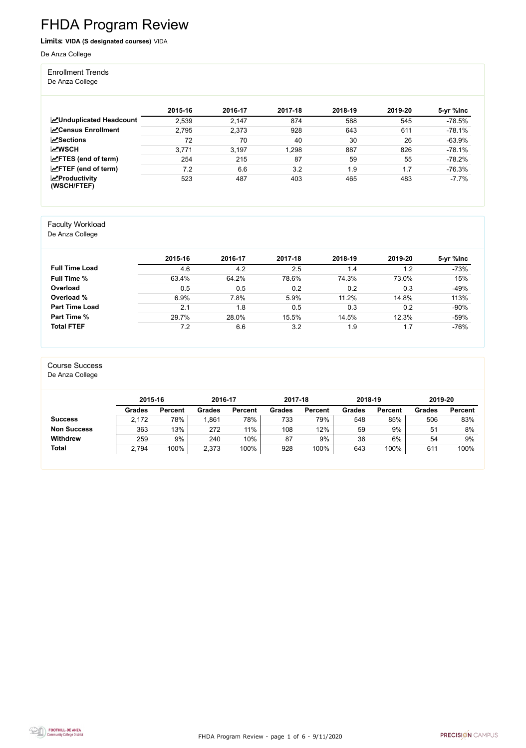FHDA Program Review - page 1 of 6 - 9/11/2020



# FHDA Program Review

Limits: **VIDA (S designated courses)** VIDA

#### De Anza College

#### Enrollment Trends

De Anza College

|                                                  | 2015-16 | 2016-17 | 2017-18 | 2018-19 | 2019-20 | 5-yr %lnc |
|--------------------------------------------------|---------|---------|---------|---------|---------|-----------|
| <b>ZUnduplicated Headcount</b>                   | 2,539   | 2,147   | 874     | 588     | 545     | $-78.5\%$ |
| <b>ZCensus Enrollment</b>                        | 2,795   | 2,373   | 928     | 643     | 611     | $-78.1%$  |
| $\sqrt{S}$ ections                               | 72      | 70      | 40      | 30      | 26      | $-63.9%$  |
| <b>MWSCH</b>                                     | 3,771   | 3.197   | 1,298   | 887     | 826     | $-78.1%$  |
| $\angle$ FTES (end of term)                      | 254     | 215     | 87      | 59      | 55      | $-78.2%$  |
| $\angle$ FTEF (end of term)                      | 7.2     | 6.6     | 3.2     | 1.9     | 1.7     | $-76.3%$  |
| $\sqrt{\frac{1}{2}}$ Productivity<br>(WSCH/FTEF) | 523     | 487     | 403     | 465     | 483     | $-7.7%$   |

#### Faculty Workload

De Anza College

|                       | 2015-16 | 2016-17 | 2017-18 | 2018-19 | 2019-20 | 5-yr %lnc |
|-----------------------|---------|---------|---------|---------|---------|-----------|
| <b>Full Time Load</b> | 4.6     | 4.2     | 2.5     | 1.4     | 1.2     | $-73%$    |
| <b>Full Time %</b>    | 63.4%   | 64.2%   | 78.6%   | 74.3%   | 73.0%   | 15%       |
| Overload              | 0.5     | 0.5     | 0.2     | 0.2     | 0.3     | $-49%$    |
| Overload %            | 6.9%    | 7.8%    | 5.9%    | 11.2%   | 14.8%   | 113%      |
| <b>Part Time Load</b> | 2.1     | 1.8     | 0.5     | 0.3     | 0.2     | $-90%$    |
| <b>Part Time %</b>    | 29.7%   | 28.0%   | 15.5%   | 14.5%   | 12.3%   | $-59%$    |
| <b>Total FTEF</b>     | 7.2     | 6.6     | 3.2     | 1.9     | 1.7     | $-76%$    |

#### Course Success

De Anza College

|                    | 2015-16       |                | 2016-17       |                | 2017-18       |                | 2018-19       |                | 2019-20       |                |
|--------------------|---------------|----------------|---------------|----------------|---------------|----------------|---------------|----------------|---------------|----------------|
|                    | <b>Grades</b> | <b>Percent</b> | <b>Grades</b> | <b>Percent</b> | <b>Grades</b> | <b>Percent</b> | <b>Grades</b> | <b>Percent</b> | <b>Grades</b> | <b>Percent</b> |
| <b>Success</b>     | 2,172         | 78%            | ,861          | 78%            | 733           | 79%            | 548           | 85%            | 506           | 83%            |
| <b>Non Success</b> | 363           | 13%            | 272           | $11\%$         | 108           | 12%            | 59            | 9%             | 51            | 8%             |
| <b>Withdrew</b>    | 259           | 9%             | 240           | 10%            | 87            | 9%             | 36            | 6%             | 54            | 9%             |
| <b>Total</b>       | 2,794         | 100%           | 2,373         | 100%           | 928           | 100%           | 643           | 100%           | 611           | 100%           |

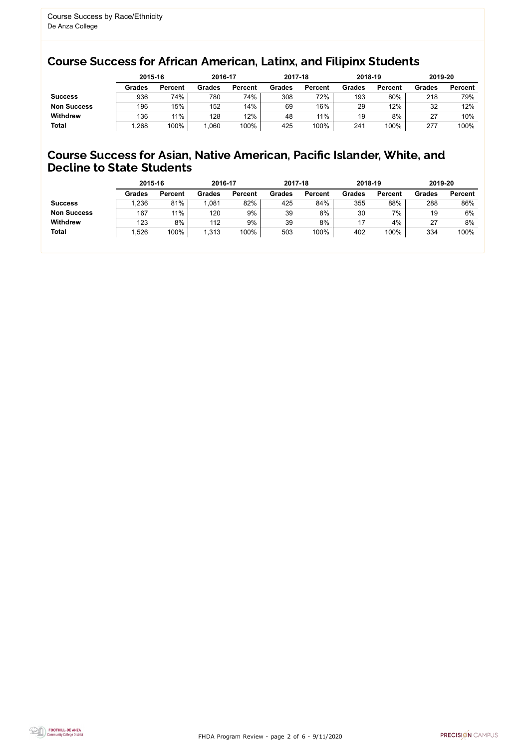FHDA Program Review - page 2 of 6 - 9/11/2020



### Course Success for African American, Latinx, and Filipinx Students

### Course Success for Asian, Native American, Pacific Islander, White, and Decline to State Students

|                    |               | 2015-16        |               | 2016-17        |               | 2017-18        | 2018-19       |                | 2019-20       |                |
|--------------------|---------------|----------------|---------------|----------------|---------------|----------------|---------------|----------------|---------------|----------------|
|                    | <b>Grades</b> | <b>Percent</b> | <b>Grades</b> | <b>Percent</b> | <b>Grades</b> | <b>Percent</b> | <b>Grades</b> | <b>Percent</b> | <b>Grades</b> | <b>Percent</b> |
| <b>Success</b>     | 936           | 74%            | 780           | 74%            | 308           | 72%            | 193           | 80%            | 218           | 79%            |
| <b>Non Success</b> | 196           | 15%            | 152           | 14%            | 69            | 16%            | 29            | 12%            | 32            | 12%            |
| <b>Withdrew</b>    | 136           | 11%            | 128           | 12%            | 48            | 11%            | 19            | 8%             | 27            | 10%            |
| <b>Total</b>       | ,268          | 100%           | 1,060         | 100%           | 425           | 100%           | 241           | 100%           | 277           | 100%           |

|                    | 2015-16       |                | 2016-17       |                | 2017-18       |                | 2018-19       |                | 2019-20       |                |
|--------------------|---------------|----------------|---------------|----------------|---------------|----------------|---------------|----------------|---------------|----------------|
|                    | <b>Grades</b> | <b>Percent</b> | <b>Grades</b> | <b>Percent</b> | <b>Grades</b> | <b>Percent</b> | <b>Grades</b> | <b>Percent</b> | <b>Grades</b> | <b>Percent</b> |
| <b>Success</b>     | 1,236         | 81%            | ,081          | 82%            | 425           | 84%            | 355           | 88%            | 288           | 86%            |
| <b>Non Success</b> | 167           | 11%            | 120           | 9%             | 39            | 8%             | 30            | 7%             | 19            | 6%             |
| <b>Withdrew</b>    | 123           | 8%             | 112           | 9%             | 39            | 8%             | 17            | 4%             | 27            | 8%             |
| <b>Total</b>       | 1,526         | 100%           | 1,313         | 100%           | 503           | 100%           | 402           | 100%           | 334           | 100%           |
|                    |               |                |               |                |               |                |               |                |               |                |

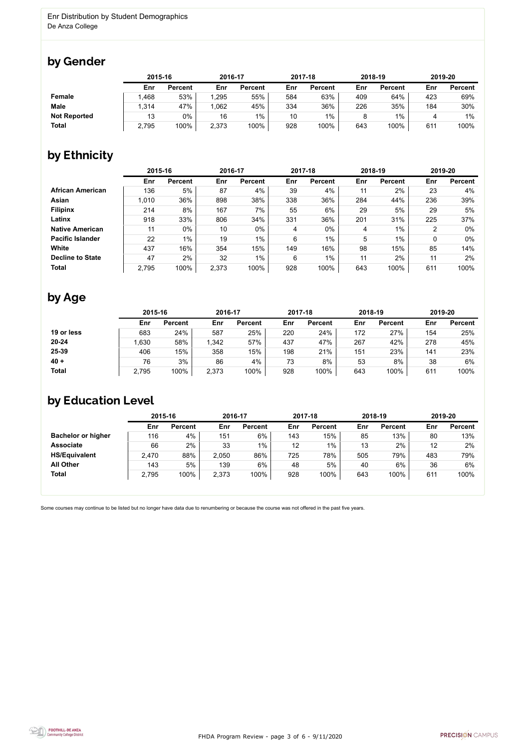

Some courses may continue to be listed but no longer have data due to renumbering or because the course was not offered in the past five years.



### by Gender

|                     | 2015-16 |                |       | 2016-17        |     | 2017-18        | 2018-19 |                | 2019-20 |                |
|---------------------|---------|----------------|-------|----------------|-----|----------------|---------|----------------|---------|----------------|
|                     | Enr     | <b>Percent</b> | Enr   | <b>Percent</b> | Enr | <b>Percent</b> | Enr     | <b>Percent</b> | Enr     | <b>Percent</b> |
| <b>Female</b>       | 1,468   | 53%            | ,295  | 55%            | 584 | 63%            | 409     | 64%            | 423     | 69%            |
| <b>Male</b>         | 1,314   | 47%            | ,062  | 45%            | 334 | 36%            | 226     | 35%            | 184     | 30%            |
| <b>Not Reported</b> | 13      | 0%             | 16    | $1\%$          | 10  | $1\%$          |         | $1\%$          |         | 1%             |
| <b>Total</b>        | 2,795   | 100%           | 2,373 | 100%           | 928 | 100%           | 643     | 100%           | 611     | 100%           |

## by Ethnicity

|                         | 2015-16 |                |       | 2016-17        |     | 2017-18        | 2018-19 |                | 2019-20 |                |
|-------------------------|---------|----------------|-------|----------------|-----|----------------|---------|----------------|---------|----------------|
|                         | Enr     | <b>Percent</b> | Enr   | <b>Percent</b> | Enr | <b>Percent</b> | Enr     | <b>Percent</b> | Enr     | <b>Percent</b> |
| <b>African American</b> | 136     | 5%             | 87    | 4%             | 39  | 4%             | 11      | 2%             | 23      | 4%             |
| Asian                   | 1,010   | 36%            | 898   | 38%            | 338 | 36%            | 284     | 44%            | 236     | 39%            |
| <b>Filipinx</b>         | 214     | 8%             | 167   | 7%             | 55  | 6%             | 29      | 5%             | 29      | 5%             |
| Latinx                  | 918     | 33%            | 806   | 34%            | 331 | 36%            | 201     | 31%            | 225     | 37%            |
| <b>Native American</b>  | 11      | $0\%$          | 10    | $0\%$          | 4   | $0\%$          | 4       | $1\%$          | 2       | $0\%$          |
| <b>Pacific Islander</b> | 22      | $1\%$          | 19    | 1%             | 6   | $1\%$          | 5       | 1%             |         | $0\%$          |
| White                   | 437     | 16%            | 354   | 15%            | 149 | 16%            | 98      | 15%            | 85      | 14%            |
| <b>Decline to State</b> | 47      | 2%             | 32    | $1\%$          | 6   | $1\%$          | 11      | 2%             | 11      | 2%             |
| <b>Total</b>            | 2,795   | 100%           | 2,373 | 100%           | 928 | 100%           | 643     | 100%           | 611     | 100%           |

### by Age

|              | 2015-16 |                | 2016-17 |                |     | 2017-18        | 2018-19 |                | 2019-20 |                |
|--------------|---------|----------------|---------|----------------|-----|----------------|---------|----------------|---------|----------------|
|              | Enr     | <b>Percent</b> | Enr     | <b>Percent</b> | Enr | <b>Percent</b> | Enr     | <b>Percent</b> | Enr     | <b>Percent</b> |
| 19 or less   | 683     | 24%            | 587     | 25%            | 220 | 24%            | 172     | 27%            | 154     | 25%            |
| $20 - 24$    | 1,630   | 58%            | 1,342   | 57%            | 437 | 47%            | 267     | 42%            | 278     | 45%            |
| 25-39        | 406     | 15%            | 358     | 15%            | 198 | 21%            | 151     | 23%            | 141     | 23%            |
| $40 +$       | 76      | 3%             | 86      | 4%             | 73  | 8%             | 53      | 8%             | 38      | 6%             |
| <b>Total</b> | 2,795   | 100%           | 2,373   | 100%           | 928 | 100%           | 643     | 100%           | 611     | 100%           |

## by Education Level

|                           | 2015-16 |                |       | 2016-17        |     | 2017-18        | 2018-19 |                | 2019-20 |                |
|---------------------------|---------|----------------|-------|----------------|-----|----------------|---------|----------------|---------|----------------|
|                           | Enr     | <b>Percent</b> | Enr   | <b>Percent</b> | Enr | <b>Percent</b> | Enr     | <b>Percent</b> | Enr     | <b>Percent</b> |
| <b>Bachelor or higher</b> | 116     | 4%             | 151   | 6%             | 143 | 15%            | 85      | 13%            | 80      | 13%            |
| <b>Associate</b>          | 66      | $2\%$          | 33    | $1\%$          | 12  | $1\%$          | 13      | 2%             | 12      | 2%             |
| <b>HS/Equivalent</b>      | 2,470   | 88%            | 2,050 | 86%            | 725 | 78%            | 505     | 79%            | 483     | 79%            |
| <b>All Other</b>          | 143     | 5%             | 139   | 6%             | 48  | 5%             | 40      | 6%             | 36      | 6%             |
| <b>Total</b>              | 2,795   | 100%           | 2,373 | 100%           | 928 | 100%           | 643     | 100%           | 611     | 100%           |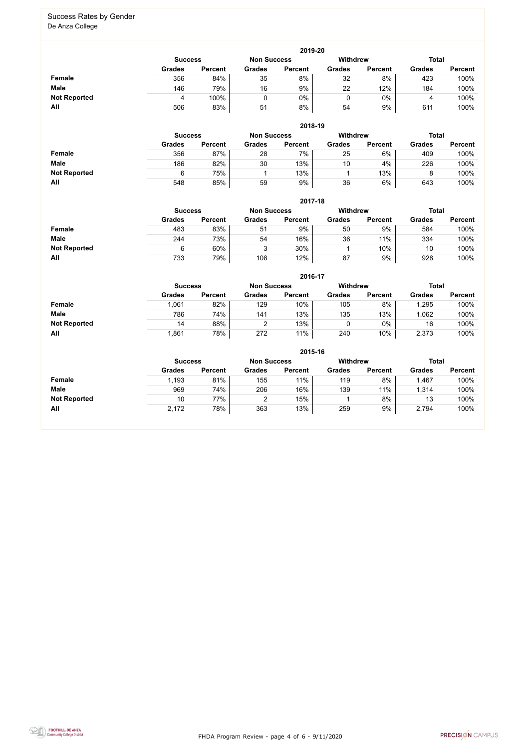FHDA Program Review - page 4 of 6 - 9/11/2020



#### Success Rates by Gender De Anza College

|                     | 2019-20                                                                 |                |               |                |               |                |               |                |  |  |  |  |  |
|---------------------|-------------------------------------------------------------------------|----------------|---------------|----------------|---------------|----------------|---------------|----------------|--|--|--|--|--|
|                     | <b>Withdrew</b><br><b>Total</b><br><b>Non Success</b><br><b>Success</b> |                |               |                |               |                |               |                |  |  |  |  |  |
|                     | <b>Grades</b>                                                           | <b>Percent</b> | <b>Grades</b> | <b>Percent</b> | <b>Grades</b> | <b>Percent</b> | <b>Grades</b> | <b>Percent</b> |  |  |  |  |  |
| <b>Female</b>       | 356                                                                     | 84%            | 35            | 8%             | 32            | 8%             | 423           | 100%           |  |  |  |  |  |
| <b>Male</b>         | 146                                                                     | 79%            | 16            | 9%             | 22            | 12%            | 184           | 100%           |  |  |  |  |  |
| <b>Not Reported</b> | 4                                                                       | 100%           |               | 0%             |               | $0\%$          | 4             | 100%           |  |  |  |  |  |
| All                 | 506                                                                     | 83%            | 51            | 8%             | 54            | 9%             | 611           | 100%           |  |  |  |  |  |

|                     |               | 2018-19                              |               |                |               |                |               |                |  |  |  |  |  |  |
|---------------------|---------------|--------------------------------------|---------------|----------------|---------------|----------------|---------------|----------------|--|--|--|--|--|--|
|                     |               | <b>Non Success</b><br><b>Success</b> |               |                |               |                | <b>Total</b>  |                |  |  |  |  |  |  |
|                     | <b>Grades</b> | <b>Percent</b>                       | <b>Grades</b> | <b>Percent</b> | <b>Grades</b> | <b>Percent</b> | <b>Grades</b> | <b>Percent</b> |  |  |  |  |  |  |
| <b>Female</b>       | 356           | 87%                                  | 28            | 7%             | 25            | 6%             | 409           | 100%           |  |  |  |  |  |  |
| <b>Male</b>         | 186           | 82%                                  | 30            | 13%            | 10            | 4%             | 226           | 100%           |  |  |  |  |  |  |
| <b>Not Reported</b> | 6             | 75%                                  |               | 13%            |               | 13%            |               | 100%           |  |  |  |  |  |  |
| All                 | 548           | 85%                                  | 59            | 9%             | 36            | 6%             | 643           | 100%           |  |  |  |  |  |  |

|                     |                | 2017-18        |                    |                 |               |                |                 |                |  |  |  |  |  |
|---------------------|----------------|----------------|--------------------|-----------------|---------------|----------------|-----------------|----------------|--|--|--|--|--|
|                     | <b>Success</b> |                | <b>Non Success</b> | <b>Withdrew</b> |               |                | <b>Total</b>    |                |  |  |  |  |  |
|                     | <b>Grades</b>  | <b>Percent</b> | <b>Grades</b>      | <b>Percent</b>  | <b>Grades</b> | <b>Percent</b> | <b>Grades</b>   | <b>Percent</b> |  |  |  |  |  |
| <b>Female</b>       | 483            | 83%            | 51                 | 9%              | 50            | 9%             | 584             | 100%           |  |  |  |  |  |
| <b>Male</b>         | 244            | 73%            | 54                 | 16%             | 36            | 11%            | 334             | 100%           |  |  |  |  |  |
| <b>Not Reported</b> | 6              | 60%            |                    | 30%             |               | 10%            | 10 <sup>°</sup> | 100%           |  |  |  |  |  |
| All                 | 733            | 79%            | 108                | 12%             | 87            | 9%             | 928             | 100%           |  |  |  |  |  |

|                     |                |                |                    | 2016-17        |                 |                |               |                |
|---------------------|----------------|----------------|--------------------|----------------|-----------------|----------------|---------------|----------------|
|                     | <b>Success</b> |                | <b>Non Success</b> |                | <b>Withdrew</b> |                | <b>Total</b>  |                |
|                     | <b>Grades</b>  | <b>Percent</b> | <b>Grades</b>      | <b>Percent</b> | <b>Grades</b>   | <b>Percent</b> | <b>Grades</b> | <b>Percent</b> |
| Female              | 1,061          | 82%            | 129                | 10%            | 105             | 8%             | 1,295         | 100%           |
| <b>Male</b>         | 786            | 74%            | 141                | 13%            | 135             | 13%            | 1,062         | 100%           |
| <b>Not Reported</b> | 14             | 88%            |                    | 13%            |                 | $0\%$          | 16            | 100%           |
| All                 | 861,ا          | 78%            | 272                | 11%            | 240             | 10%            | 2,373         | 100%           |

|                     |               |                                                  |               | 2015-16        |               |                |               |                |  |
|---------------------|---------------|--------------------------------------------------|---------------|----------------|---------------|----------------|---------------|----------------|--|
|                     |               | Withdrew<br><b>Non Success</b><br><b>Success</b> |               |                |               |                |               |                |  |
|                     | <b>Grades</b> | <b>Percent</b>                                   | <b>Grades</b> | <b>Percent</b> | <b>Grades</b> | <b>Percent</b> | <b>Grades</b> | <b>Percent</b> |  |
| Female              | 1,193         | 81%                                              | 155           | 11%            | 119           | 8%             | 1,467         | 100%           |  |
| <b>Male</b>         | 969           | 74%                                              | 206           | 16%            | 139           | 11%            | 1,314         | 100%           |  |
| <b>Not Reported</b> | 10            | 77%                                              | າ             | 15%            |               | 8%             | 13            | 100%           |  |
| All                 | 2,172         | 78%                                              | 363           | 13%            | 259           | $9\%$          | 2,794         | 100%           |  |

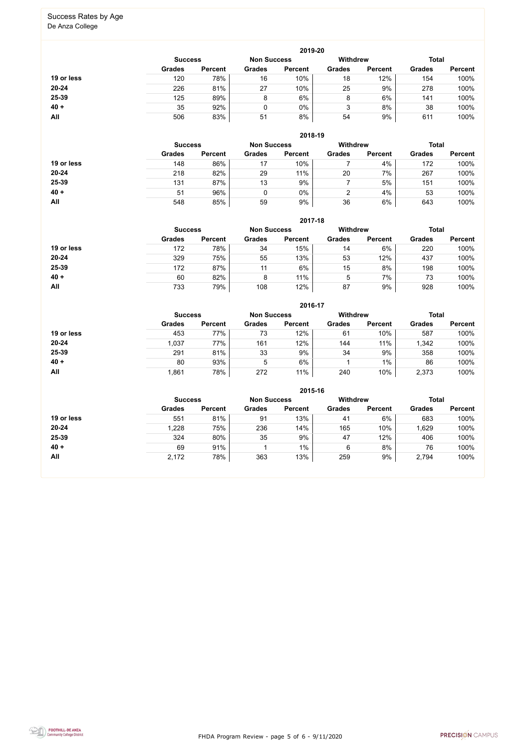FHDA Program Review - page 5 of 6 - 9/11/2020



# Success Rates by Age

De Anza College

|            |                |                |                    | 2019-20        |                 |                |               |                |
|------------|----------------|----------------|--------------------|----------------|-----------------|----------------|---------------|----------------|
|            | <b>Success</b> |                | <b>Non Success</b> |                | <b>Withdrew</b> |                | <b>Total</b>  |                |
|            | <b>Grades</b>  | <b>Percent</b> | <b>Grades</b>      | <b>Percent</b> | <b>Grades</b>   | <b>Percent</b> | <b>Grades</b> | <b>Percent</b> |
| 19 or less | 120            | 78%            | 16                 | 10%            | 18              | 12%            | 154           | 100%           |
| $20 - 24$  | 226            | 81%            | 27                 | 10%            | 25              | 9%             | 278           | 100%           |
| 25-39      | 125            | 89%            | 8                  | 6%             | 8               | 6%             | 141           | 100%           |
| $40 +$     | 35             | 92%            | 0                  | 0%             | 3               | 8%             | 38            | 100%           |
| All        | 506            | 83%            | 51                 | 8%             | 54              | 9%             | 611           | 100%           |

|            |                |                |                    | 2018-19        |                 |                |               |                |
|------------|----------------|----------------|--------------------|----------------|-----------------|----------------|---------------|----------------|
|            | <b>Success</b> |                | <b>Non Success</b> |                | <b>Withdrew</b> |                | <b>Total</b>  |                |
|            | <b>Grades</b>  | <b>Percent</b> | <b>Grades</b>      | <b>Percent</b> | <b>Grades</b>   | <b>Percent</b> | <b>Grades</b> | <b>Percent</b> |
| 19 or less | 148            | 86%            | 17                 | 10%            |                 | 4%             | 172           | 100%           |
| $20 - 24$  | 218            | 82%            | 29                 | 11%            | 20              | 7%             | 267           | 100%           |
| 25-39      | 131            | 87%            | 13                 | 9%             |                 | 5%             | 151           | 100%           |
| $40 +$     | 51             | 96%            |                    | 0%             |                 | 4%             | 53            | 100%           |
| All        | 548            | 85%            | 59                 | 9%             | 36              | 6%             | 643           | 100%           |

|            |                |                |                    | 2017-18        |                 |                |               |                |
|------------|----------------|----------------|--------------------|----------------|-----------------|----------------|---------------|----------------|
|            | <b>Success</b> |                | <b>Non Success</b> |                | <b>Withdrew</b> |                | <b>Total</b>  |                |
|            | <b>Grades</b>  | <b>Percent</b> | <b>Grades</b>      | <b>Percent</b> | <b>Grades</b>   | <b>Percent</b> | <b>Grades</b> | <b>Percent</b> |
| 19 or less | 172            | 78%            | 34                 | 15%            | 14              | 6%             | 220           | 100%           |
| $20 - 24$  | 329            | 75%            | 55                 | 13%            | 53              | 12%            | 437           | 100%           |
| 25-39      | 172            | 87%            | 11                 | 6%             | 15              | 8%             | 198           | 100%           |
| $40 +$     | 60             | 82%            | 8                  | 11%            | 5               | 7%             | 73            | 100%           |
| All        | 733            | 79%            | 108                | 12%            | 87              | 9%             | 928           | 100%           |

|            |                |                |                    | 2016-17        |                 |                |               |                |  |
|------------|----------------|----------------|--------------------|----------------|-----------------|----------------|---------------|----------------|--|
|            | <b>Success</b> |                | <b>Non Success</b> |                | <b>Withdrew</b> |                |               | <b>Total</b>   |  |
|            | <b>Grades</b>  | <b>Percent</b> | <b>Grades</b>      | <b>Percent</b> | <b>Grades</b>   | <b>Percent</b> | <b>Grades</b> | <b>Percent</b> |  |
| 19 or less | 453            | 77%            | 73                 | 12%            | 61              | 10%            | 587           | 100%           |  |
| $20 - 24$  | 037            | 77%            | 161                | 12%            | 144             | 11%            | 1,342         | 100%           |  |
| 25-39      | 291            | 81%            | 33                 | 9%             | 34              | 9%             | 358           | 100%           |  |
| $40 +$     | 80             | 93%            | 5                  | 6%             |                 | $1\%$          | 86            | 100%           |  |
| All        | 861,ا          | 78%            | 272                | 11%            | 240             | 10%            | 2,373         | 100%           |  |

|            |                |                |                    | 2015-16        |                 |                |               |                |
|------------|----------------|----------------|--------------------|----------------|-----------------|----------------|---------------|----------------|
|            | <b>Success</b> |                | <b>Non Success</b> |                | <b>Withdrew</b> |                | <b>Total</b>  |                |
|            | <b>Grades</b>  | <b>Percent</b> | <b>Grades</b>      | <b>Percent</b> | <b>Grades</b>   | <b>Percent</b> | <b>Grades</b> | <b>Percent</b> |
| 19 or less | 551            | 81%            | 91                 | 13%            | 41              | 6%             | 683           | 100%           |
| $20 - 24$  | 1,228          | 75%            | 236                | 14%            | 165             | 10%            | 1,629         | 100%           |
| 25-39      | 324            | 80%            | 35                 | 9%             | 47              | 12%            | 406           | 100%           |
| $40 +$     | 69             | 91%            |                    | $1\%$          | 6               | 8%             | 76            | 100%           |
| All        | 2,172          | 78%            | 363                | 13%            | 259             | 9%             | 2,794         | 100%           |